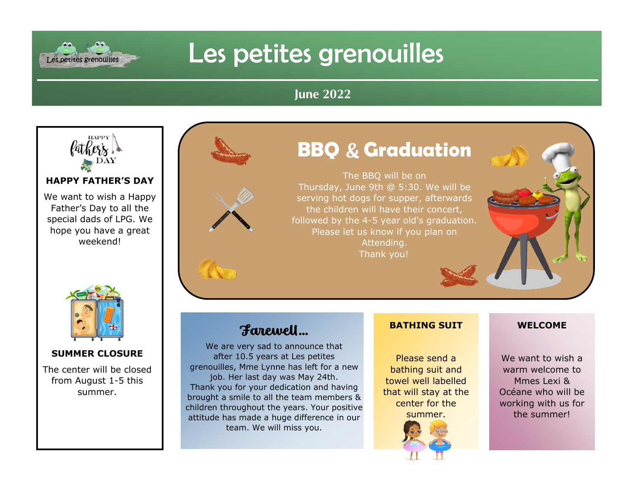# Les petites grenouilles

### **June 2022**



Les petites grenouilles

**HAPPY FATHER'S DAY**

We want to wish a Happy Father's Day to all the special dads of LPG. We hope you have a great weekend!



#### **SUMMER CLOSURE**

The center will be closed from August 1-5 this summer.



# **BBQ** & **Graduation**

The BBQ will be on Thursday, June 9th @ 5:30. We will be serving hot dogs for supper, afterwards the children will have their concert, followed by the 4-5 year old's graduation. Please let us know if you plan on Attending. Thank you!

## Farewell…

We are very sad to announce that after 10.5 years at Les petites grenouilles, Mme Lynne has left for a new job. Her last day was May 24th. Thank you for your dedication and having brought a smile to all the team members & children throughout the years. Your positive attitude has made a huge difference in our team. We will miss you.

### **BATHING SUIT**

Please send a bathing suit and towel well labelled that will stay at the center for the summer.





We want to wish a warm welcome to Mmes Lexi & Océane who will be working with us for the summer!